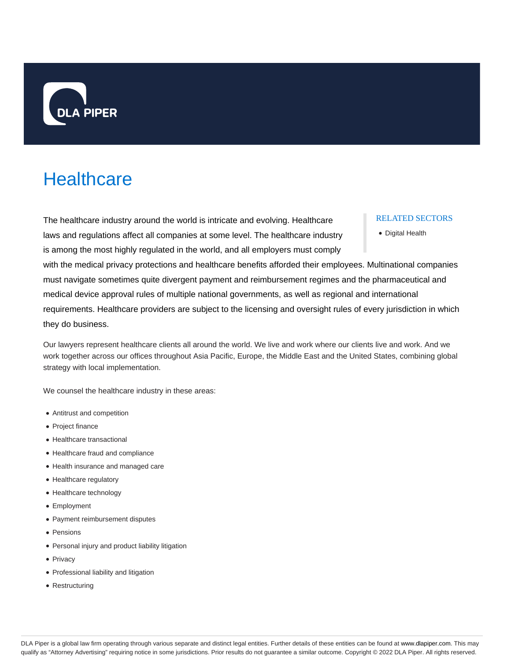

# **Healthcare**

The healthcare industry around the world is intricate and evolving. Healthcare laws and regulations affect all companies at some level. The healthcare industry is among the most highly regulated in the world, and all employers must comply

#### RELATED SECTORS

Digital Health

with the medical privacy protections and healthcare benefits afforded their employees. Multinational companies must navigate sometimes quite divergent payment and reimbursement regimes and the pharmaceutical and medical device approval rules of multiple national governments, as well as regional and international requirements. Healthcare providers are subject to the licensing and oversight rules of every jurisdiction in which they do business.

Our lawyers represent healthcare clients all around the world. We live and work where our clients live and work. And we work together across our offices throughout Asia Pacific, Europe, the Middle East and the United States, combining global strategy with local implementation.

We counsel the healthcare industry in these areas:

- Antitrust and competition
- Project finance
- Healthcare transactional
- Healthcare fraud and compliance
- Health insurance and managed care
- Healthcare regulatory
- Healthcare technology
- Employment
- Payment reimbursement disputes
- Pensions
- Personal injury and product liability litigation
- Privacy
- Professional liability and litigation
- Restructuring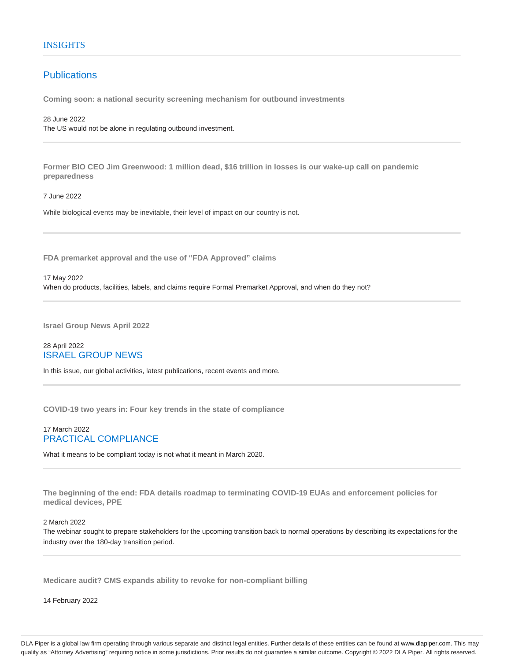## **Publications**

**Coming soon: a national security screening mechanism for outbound investments**

28 June 2022 The US would not be alone in regulating outbound investment.

**Former BIO CEO Jim Greenwood: 1 million dead, \$16 trillion in losses is our wake-up call on pandemic preparedness**

7 June 2022

While biological events may be inevitable, their level of impact on our country is not.

**FDA premarket approval and the use of "FDA Approved" claims**

17 May 2022 When do products, facilities, labels, and claims require Formal Premarket Approval, and when do they not?

**Israel Group News April 2022**

## 28 April 2022 ISRAEL GROUP NEWS

In this issue, our global activities, latest publications, recent events and more.

**COVID-19 two years in: Four key trends in the state of compliance**

## 17 March 2022 PRACTICAL COMPLIANCE

What it means to be compliant today is not what it meant in March 2020.

**The beginning of the end: FDA details roadmap to terminating COVID-19 EUAs and enforcement policies for medical devices, PPE**

## 2 March 2022

The webinar sought to prepare stakeholders for the upcoming transition back to normal operations by describing its expectations for the industry over the 180-day transition period.

**Medicare audit? CMS expands ability to revoke for non-compliant billing**

14 February 2022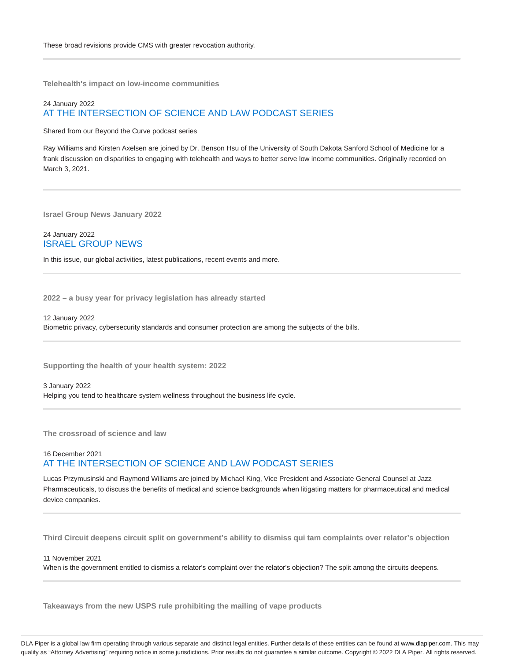**Telehealth's impact on low-income communities**

## 24 January 2022 AT THE INTERSECTION OF SCIENCE AND LAW PODCAST SERIES

Shared from our Beyond the Curve podcast series

Ray Williams and Kirsten Axelsen are joined by Dr. Benson Hsu of the University of South Dakota Sanford School of Medicine for a frank discussion on disparities to engaging with telehealth and ways to better serve low income communities. Originally recorded on March 3, 2021.

**Israel Group News January 2022**

24 January 2022 ISRAEL GROUP NEWS

In this issue, our global activities, latest publications, recent events and more.

**2022 – a busy year for privacy legislation has already started**

12 January 2022 Biometric privacy, cybersecurity standards and consumer protection are among the subjects of the bills.

**Supporting the health of your health system: 2022**

3 January 2022 Helping you tend to healthcare system wellness throughout the business life cycle.

**The crossroad of science and law**

## 16 December 2021 AT THE INTERSECTION OF SCIENCE AND LAW PODCAST SERIES

Lucas Przymusinski and Raymond Williams are joined by Michael King, Vice President and Associate General Counsel at Jazz Pharmaceuticals, to discuss the benefits of medical and science backgrounds when litigating matters for pharmaceutical and medical device companies.

**Third Circuit deepens circuit split on government's ability to dismiss qui tam complaints over relator's objection**

11 November 2021

When is the government entitled to dismiss a relator's complaint over the relator's objection? The split among the circuits deepens.

**Takeaways from the new USPS rule prohibiting the mailing of vape products**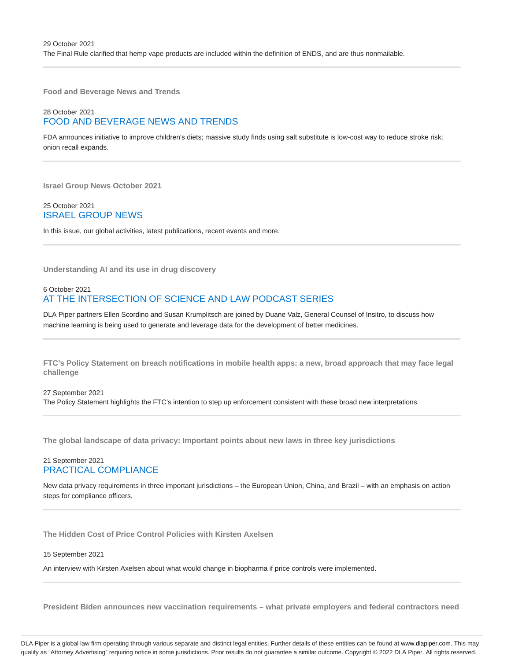**Food and Beverage News and Trends**

## 28 October 2021 FOOD AND BEVERAGE NEWS AND TRENDS

FDA announces initiative to improve children's diets; massive study finds using salt substitute is low-cost way to reduce stroke risk; onion recall expands.

**Israel Group News October 2021**

## 25 October 2021 ISRAEL GROUP NEWS

In this issue, our global activities, latest publications, recent events and more.

**Understanding AI and its use in drug discovery**

## 6 October 2021 AT THE INTERSECTION OF SCIENCE AND LAW PODCAST SERIES

DLA Piper partners Ellen Scordino and Susan Krumplitsch are joined by Duane Valz, General Counsel of Insitro, to discuss how machine learning is being used to generate and leverage data for the development of better medicines.

**FTC's Policy Statement on breach notifications in mobile health apps: a new, broad approach that may face legal challenge**

27 September 2021 The Policy Statement highlights the FTC's intention to step up enforcement consistent with these broad new interpretations.

**The global landscape of data privacy: Important points about new laws in three key jurisdictions**

## 21 September 2021 PRACTICAL COMPLIANCE

New data privacy requirements in three important jurisdictions – the European Union, China, and Brazil – with an emphasis on action steps for compliance officers.

**The Hidden Cost of Price Control Policies with Kirsten Axelsen**

#### 15 September 2021

An interview with Kirsten Axelsen about what would change in biopharma if price controls were implemented.

**President Biden announces new vaccination requirements – what private employers and federal contractors need**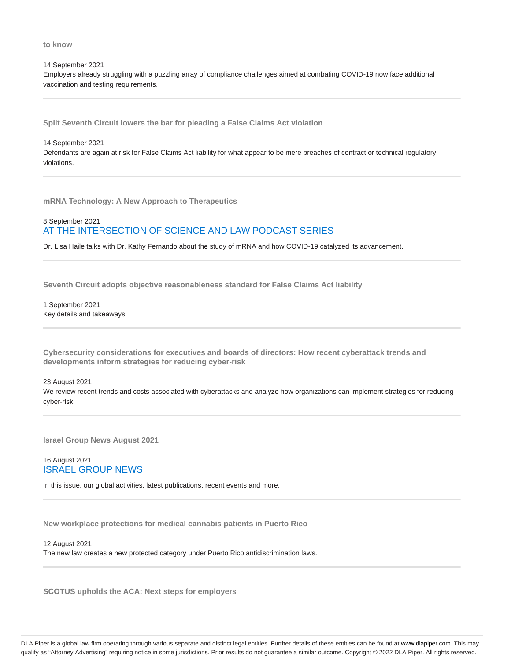**to know**

14 September 2021 Employers already struggling with a puzzling array of compliance challenges aimed at combating COVID-19 now face additional vaccination and testing requirements.

**Split Seventh Circuit lowers the bar for pleading a False Claims Act violation**

14 September 2021

Defendants are again at risk for False Claims Act liability for what appear to be mere breaches of contract or technical regulatory violations.

**mRNA Technology: A New Approach to Therapeutics**

## 8 September 2021 AT THE INTERSECTION OF SCIENCE AND LAW PODCAST SERIES

Dr. Lisa Haile talks with Dr. Kathy Fernando about the study of mRNA and how COVID-19 catalyzed its advancement.

**Seventh Circuit adopts objective reasonableness standard for False Claims Act liability**

1 September 2021 Key details and takeaways.

**Cybersecurity considerations for executives and boards of directors: How recent cyberattack trends and developments inform strategies for reducing cyber-risk**

23 August 2021

We review recent trends and costs associated with cyberattacks and analyze how organizations can implement strategies for reducing cyber-risk.

**Israel Group News August 2021**

## 16 August 2021 ISRAEL GROUP NEWS

In this issue, our global activities, latest publications, recent events and more.

**New workplace protections for medical cannabis patients in Puerto Rico**

12 August 2021 The new law creates a new protected category under Puerto Rico antidiscrimination laws.

**SCOTUS upholds the ACA: Next steps for employers**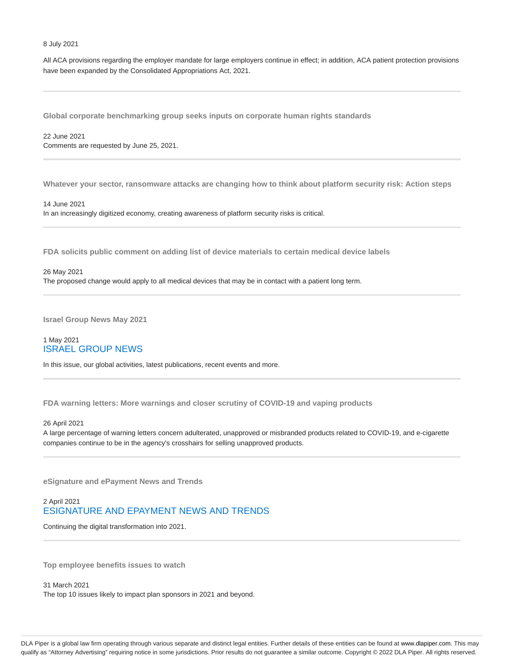#### 8 July 2021

All ACA provisions regarding the employer mandate for large employers continue in effect; in addition, ACA patient protection provisions have been expanded by the Consolidated Appropriations Act, 2021.

**Global corporate benchmarking group seeks inputs on corporate human rights standards**

22 June 2021 Comments are requested by June 25, 2021.

**Whatever your sector, ransomware attacks are changing how to think about platform security risk: Action steps**

14 June 2021 In an increasingly digitized economy, creating awareness of platform security risks is critical.

**FDA solicits public comment on adding list of device materials to certain medical device labels**

## 26 May 2021 The proposed change would apply to all medical devices that may be in contact with a patient long term.

**Israel Group News May 2021**

## 1 May 2021 ISRAEL GROUP NEWS

In this issue, our global activities, latest publications, recent events and more.

**FDA warning letters: More warnings and closer scrutiny of COVID-19 and vaping products**

#### 26 April 2021

A large percentage of warning letters concern adulterated, unapproved or misbranded products related to COVID-19, and e-cigarette companies continue to be in the agency's crosshairs for selling unapproved products.

**eSignature and ePayment News and Trends**

## 2 April 2021 ESIGNATURE AND EPAYMENT NEWS AND TRENDS

Continuing the digital transformation into 2021.

**Top employee benefits issues to watch**

31 March 2021 The top 10 issues likely to impact plan sponsors in 2021 and beyond.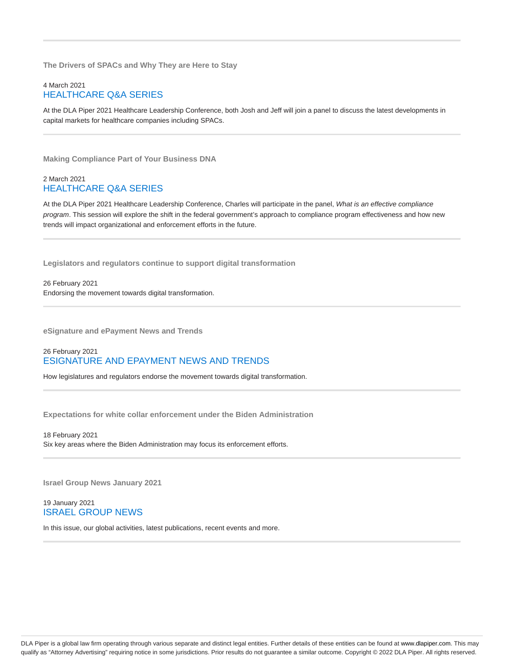**The Drivers of SPACs and Why They are Here to Stay**

## 4 March 2021 HEALTHCARE Q&A SERIES

At the DLA Piper 2021 Healthcare Leadership Conference, both Josh and Jeff will join a panel to discuss the latest developments in capital markets for healthcare companies including SPACs.

**Making Compliance Part of Your Business DNA**

## 2 March 2021 HEALTHCARE Q&A SERIES

At the DLA Piper 2021 Healthcare Leadership Conference, Charles will participate in the panel, What is an effective compliance program. This session will explore the shift in the federal government's approach to compliance program effectiveness and how new trends will impact organizational and enforcement efforts in the future.

**Legislators and regulators continue to support digital transformation**

26 February 2021 Endorsing the movement towards digital transformation.

**eSignature and ePayment News and Trends**

## 26 February 2021 ESIGNATURE AND EPAYMENT NEWS AND TRENDS

How legislatures and regulators endorse the movement towards digital transformation.

**Expectations for white collar enforcement under the Biden Administration**

18 February 2021 Six key areas where the Biden Administration may focus its enforcement efforts.

**Israel Group News January 2021**

19 January 2021 ISRAEL GROUP NEWS

In this issue, our global activities, latest publications, recent events and more.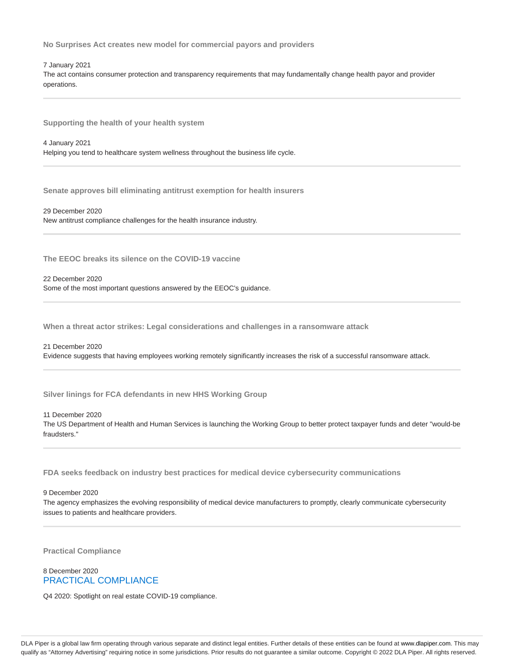**No Surprises Act creates new model for commercial payors and providers**

7 January 2021

The act contains consumer protection and transparency requirements that may fundamentally change health payor and provider operations.

**Supporting the health of your health system**

4 January 2021

Helping you tend to healthcare system wellness throughout the business life cycle.

**Senate approves bill eliminating antitrust exemption for health insurers**

29 December 2020 New antitrust compliance challenges for the health insurance industry.

**The EEOC breaks its silence on the COVID-19 vaccine**

22 December 2020

Some of the most important questions answered by the EEOC's guidance.

**When a threat actor strikes: Legal considerations and challenges in a ransomware attack**

#### 21 December 2020

Evidence suggests that having employees working remotely significantly increases the risk of a successful ransomware attack.

**Silver linings for FCA defendants in new HHS Working Group**

11 December 2020

The US Department of Health and Human Services is launching the Working Group to better protect taxpayer funds and deter "would-be fraudsters."

**FDA seeks feedback on industry best practices for medical device cybersecurity communications**

9 December 2020

The agency emphasizes the evolving responsibility of medical device manufacturers to promptly, clearly communicate cybersecurity issues to patients and healthcare providers.

**Practical Compliance**

## 8 December 2020 PRACTICAL COMPLIANCE

Q4 2020: Spotlight on real estate COVID-19 compliance.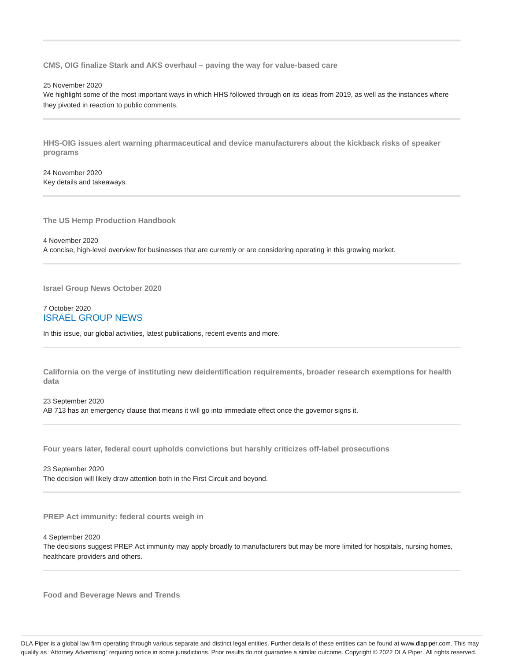**CMS, OIG finalize Stark and AKS overhaul – paving the way for value-based care**

25 November 2020

We highlight some of the most important ways in which HHS followed through on its ideas from 2019, as well as the instances where they pivoted in reaction to public comments.

**HHS-OIG issues alert warning pharmaceutical and device manufacturers about the kickback risks of speaker programs**

24 November 2020 Key details and takeaways.

**The US Hemp Production Handbook**

4 November 2020 A concise, high-level overview for businesses that are currently or are considering operating in this growing market.

**Israel Group News October 2020**

## 7 October 2020 ISRAEL GROUP NEWS

In this issue, our global activities, latest publications, recent events and more.

**California on the verge of instituting new deidentification requirements, broader research exemptions for health data**

23 September 2020 AB 713 has an emergency clause that means it will go into immediate effect once the governor signs it.

**Four years later, federal court upholds convictions but harshly criticizes off-label prosecutions**

23 September 2020

The decision will likely draw attention both in the First Circuit and beyond.

**PREP Act immunity: federal courts weigh in**

4 September 2020

The decisions suggest PREP Act immunity may apply broadly to manufacturers but may be more limited for hospitals, nursing homes, healthcare providers and others.

**Food and Beverage News and Trends**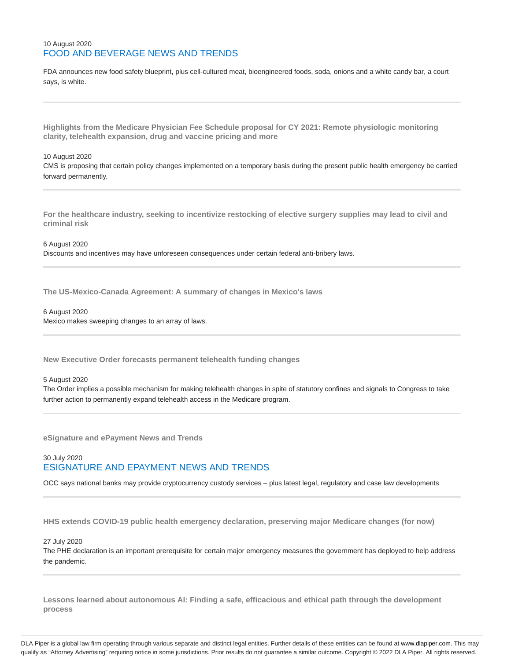## 10 August 2020 FOOD AND BEVERAGE NEWS AND TRENDS

FDA announces new food safety blueprint, plus cell-cultured meat, bioengineered foods, soda, onions and a white candy bar, a court says, is white.

**Highlights from the Medicare Physician Fee Schedule proposal for CY 2021: Remote physiologic monitoring clarity, telehealth expansion, drug and vaccine pricing and more**

#### 10 August 2020

CMS is proposing that certain policy changes implemented on a temporary basis during the present public health emergency be carried forward permanently.

**For the healthcare industry, seeking to incentivize restocking of elective surgery supplies may lead to civil and criminal risk**

6 August 2020 Discounts and incentives may have unforeseen consequences under certain federal anti-bribery laws.

**The US-Mexico-Canada Agreement: A summary of changes in Mexico's laws**

#### 6 August 2020

Mexico makes sweeping changes to an array of laws.

**New Executive Order forecasts permanent telehealth funding changes**

#### 5 August 2020

The Order implies a possible mechanism for making telehealth changes in spite of statutory confines and signals to Congress to take further action to permanently expand telehealth access in the Medicare program.

**eSignature and ePayment News and Trends**

## 30 July 2020 ESIGNATURE AND EPAYMENT NEWS AND TRENDS

OCC says national banks may provide cryptocurrency custody services – plus latest legal, regulatory and case law developments

**HHS extends COVID-19 public health emergency declaration, preserving major Medicare changes (for now)**

27 July 2020

The PHE declaration is an important prerequisite for certain major emergency measures the government has deployed to help address the pandemic.

**Lessons learned about autonomous AI: Finding a safe, efficacious and ethical path through the development process**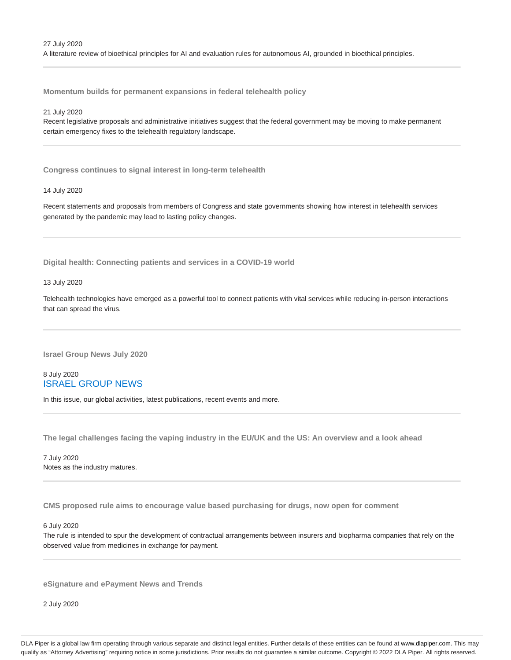**Momentum builds for permanent expansions in federal telehealth policy**

#### 21 July 2020

Recent legislative proposals and administrative initiatives suggest that the federal government may be moving to make permanent certain emergency fixes to the telehealth regulatory landscape.

**Congress continues to signal interest in long-term telehealth**

#### 14 July 2020

Recent statements and proposals from members of Congress and state governments showing how interest in telehealth services generated by the pandemic may lead to lasting policy changes.

**Digital health: Connecting patients and services in a COVID-19 world**

#### 13 July 2020

Telehealth technologies have emerged as a powerful tool to connect patients with vital services while reducing in-person interactions that can spread the virus.

**Israel Group News July 2020**

## 8 July 2020 ISRAEL GROUP NEWS

In this issue, our global activities, latest publications, recent events and more.

**The legal challenges facing the vaping industry in the EU/UK and the US: An overview and a look ahead**

7 July 2020 Notes as the industry matures.

**CMS proposed rule aims to encourage value based purchasing for drugs, now open for comment**

6 July 2020

The rule is intended to spur the development of contractual arrangements between insurers and biopharma companies that rely on the observed value from medicines in exchange for payment.

**eSignature and ePayment News and Trends**

2 July 2020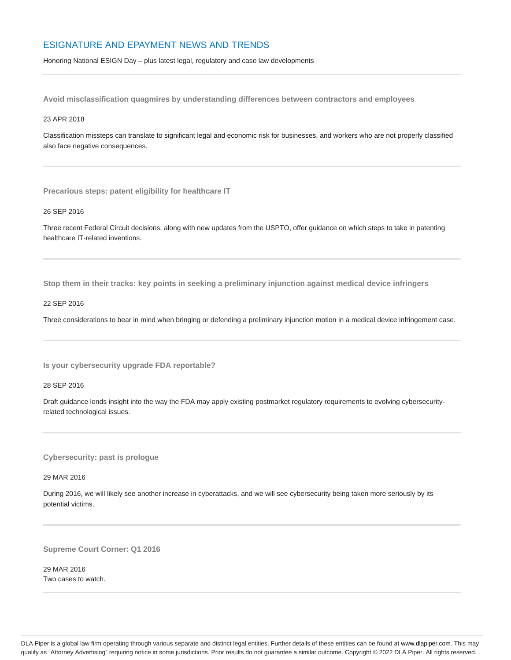## ESIGNATURE AND EPAYMENT NEWS AND TRENDS

Honoring National ESIGN Day – plus latest legal, regulatory and case law developments

**Avoid misclassification quagmires by understanding differences between contractors and employees**

#### 23 APR 2018

Classification missteps can translate to significant legal and economic risk for businesses, and workers who are not properly classified also face negative consequences.

**Precarious steps: patent eligibility for healthcare IT**

#### 26 SEP 2016

Three recent Federal Circuit decisions, along with new updates from the USPTO, offer guidance on which steps to take in patenting healthcare IT-related inventions.

**Stop them in their tracks: key points in seeking a preliminary injunction against medical device infringers**

#### 22 SEP 2016

Three considerations to bear in mind when bringing or defending a preliminary injunction motion in a medical device infringement case.

**Is your cybersecurity upgrade FDA reportable?**

28 SEP 2016

Draft guidance lends insight into the way the FDA may apply existing postmarket regulatory requirements to evolving cybersecurityrelated technological issues.

**Cybersecurity: past is prologue**

29 MAR 2016

During 2016, we will likely see another increase in cyberattacks, and we will see cybersecurity being taken more seriously by its potential victims.

**Supreme Court Corner: Q1 2016**

29 MAR 2016 Two cases to watch.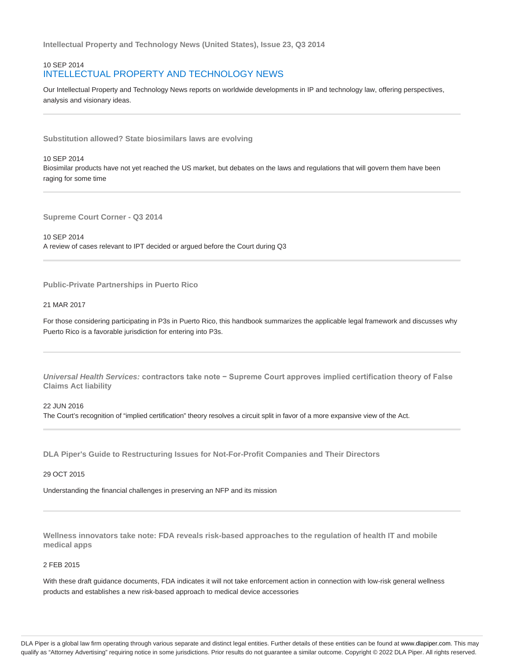**Intellectual Property and Technology News (United States), Issue 23, Q3 2014**

## 10 SEP 2014 INTELLECTUAL PROPERTY AND TECHNOLOGY NEWS

Our Intellectual Property and Technology News reports on worldwide developments in IP and technology law, offering perspectives, analysis and visionary ideas.

**Substitution allowed? State biosimilars laws are evolving**

## 10 SEP 2014 Biosimilar products have not yet reached the US market, but debates on the laws and regulations that will govern them have been raging for some time

**Supreme Court Corner - Q3 2014**

10 SEP 2014 A review of cases relevant to IPT decided or argued before the Court during Q3

**Public-Private Partnerships in Puerto Rico**

#### 21 MAR 2017

For those considering participating in P3s in Puerto Rico, this handbook summarizes the applicable legal framework and discusses why Puerto Rico is a favorable jurisdiction for entering into P3s.

**Universal Health Services: contractors take note − Supreme Court approves implied certification theory of False Claims Act liability**

22 JUN 2016

The Court's recognition of "implied certification" theory resolves a circuit split in favor of a more expansive view of the Act.

**DLA Piper's Guide to Restructuring Issues for Not-For-Profit Companies and Their Directors**

29 OCT 2015

Understanding the financial challenges in preserving an NFP and its mission

**Wellness innovators take note: FDA reveals risk-based approaches to the regulation of health IT and mobile medical apps**

#### 2 FEB 2015

With these draft guidance documents, FDA indicates it will not take enforcement action in connection with low-risk general wellness products and establishes a new risk-based approach to medical device accessories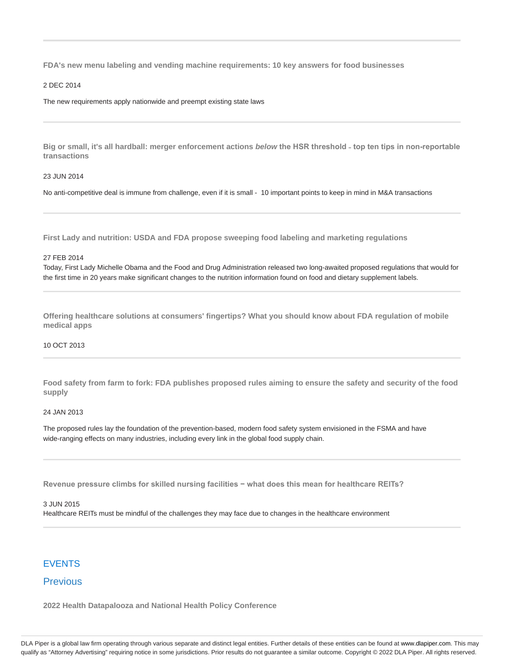**FDA's new menu labeling and vending machine requirements: 10 key answers for food businesses**

#### 2 DEC 2014

The new requirements apply nationwide and preempt existing state laws

**Big or small, it's all hardball: merger enforcement actions below the HSR threshold ˗ top ten tips in non-reportable transactions**

#### 23 JUN 2014

No anti-competitive deal is immune from challenge, even if it is small - 10 important points to keep in mind in M&A transactions

**First Lady and nutrition: USDA and FDA propose sweeping food labeling and marketing regulations**

#### 27 FEB 2014

Today, First Lady Michelle Obama and the Food and Drug Administration released two long-awaited proposed regulations that would for the first time in 20 years make significant changes to the nutrition information found on food and dietary supplement labels.

**Offering healthcare solutions at consumers' fingertips? What you should know about FDA regulation of mobile medical apps**

#### 10 OCT 2013

**Food safety from farm to fork: FDA publishes proposed rules aiming to ensure the safety and security of the food supply**

#### 24 JAN 2013

The proposed rules lay the foundation of the prevention-based, modern food safety system envisioned in the FSMA and have wide-ranging effects on many industries, including every link in the global food supply chain.

**Revenue pressure climbs for skilled nursing facilities − what does this mean for healthcare REITs?**

#### 3 JUN 2015

Healthcare REITs must be mindful of the challenges they may face due to changes in the healthcare environment

## **FVFNTS**

## Previous

**2022 Health Datapalooza and National Health Policy Conference**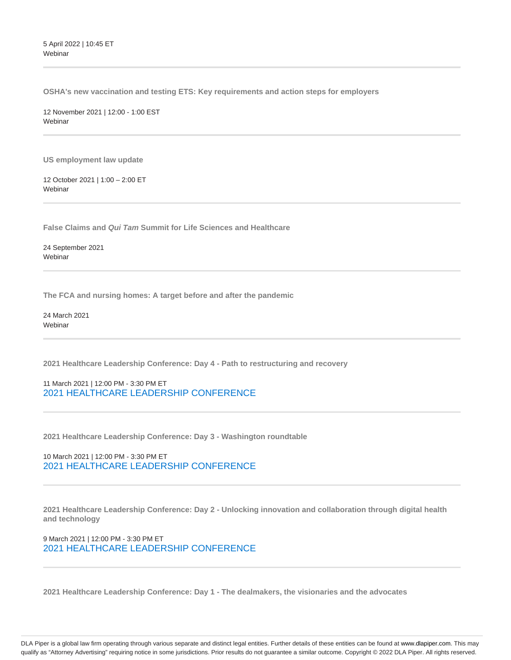5 April 2022 | 10:45 ET Webinar

**OSHA's new vaccination and testing ETS: Key requirements and action steps for employers**

12 November 2021 | 12:00 - 1:00 EST **Webinar** 

**US employment law update**

12 October 2021 | 1:00 – 2:00 ET Webinar

**False Claims and Qui Tam Summit for Life Sciences and Healthcare**

24 September 2021 **Webinar** 

**The FCA and nursing homes: A target before and after the pandemic**

24 March 2021 **Webinar** 

**2021 Healthcare Leadership Conference: Day 4 - Path to restructuring and recovery**

11 March 2021 | 12:00 PM - 3:30 PM ET 2021 HEALTHCARE LEADERSHIP CONFERENCE

**2021 Healthcare Leadership Conference: Day 3 - Washington roundtable**

10 March 2021 | 12:00 PM - 3:30 PM ET 2021 HEALTHCARE LEADERSHIP CONFERENCE

**2021 Healthcare Leadership Conference: Day 2 - Unlocking innovation and collaboration through digital health and technology**

9 March 2021 | 12:00 PM - 3:30 PM ET 2021 HEALTHCARE LEADERSHIP CONFERENCE

**2021 Healthcare Leadership Conference: Day 1 - The dealmakers, the visionaries and the advocates**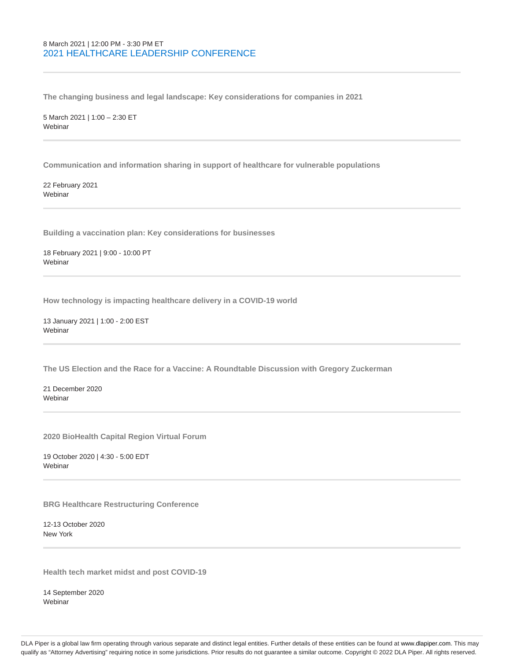## 8 March 2021 | 12:00 PM - 3:30 PM ET 2021 HEALTHCARE LEADERSHIP CONFERENCE

**The changing business and legal landscape: Key considerations for companies in 2021**

5 March 2021 | 1:00 – 2:30 ET Webinar

**Communication and information sharing in support of healthcare for vulnerable populations**

22 February 2021 **Webinar** 

**Building a vaccination plan: Key considerations for businesses**

18 February 2021 | 9:00 - 10:00 PT **Webinar** 

**How technology is impacting healthcare delivery in a COVID-19 world**

13 January 2021 | 1:00 - 2:00 EST Webinar

**The US Election and the Race for a Vaccine: A Roundtable Discussion with Gregory Zuckerman**

21 December 2020 Webinar

**2020 BioHealth Capital Region Virtual Forum**

19 October 2020 | 4:30 - 5:00 EDT Webinar

**BRG Healthcare Restructuring Conference**

12-13 October 2020 New York

**Health tech market midst and post COVID-19**

14 September 2020 Webinar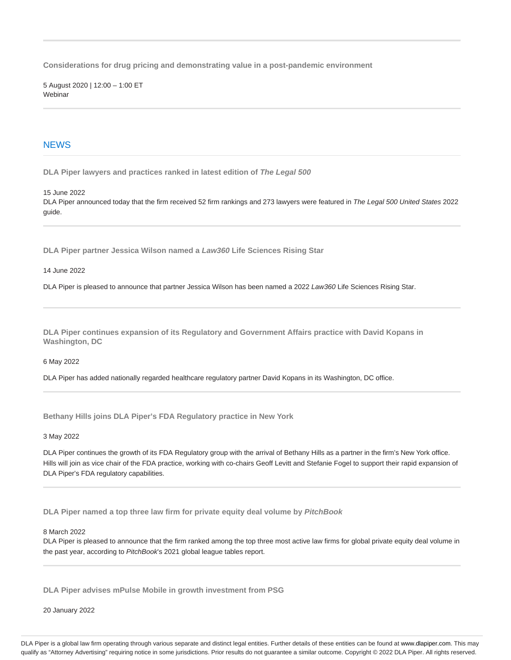**Considerations for drug pricing and demonstrating value in a post-pandemic environment**

5 August 2020 | 12:00 – 1:00 ET Webinar

## **NEWS**

**DLA Piper lawyers and practices ranked in latest edition of The Legal 500**

15 June 2022

DLA Piper announced today that the firm received 52 firm rankings and 273 lawyers were featured in The Legal 500 United States 2022 guide.

**DLA Piper partner Jessica Wilson named a Law360 Life Sciences Rising Star**

14 June 2022

DLA Piper is pleased to announce that partner Jessica Wilson has been named a 2022 Law360 Life Sciences Rising Star.

**DLA Piper continues expansion of its Regulatory and Government Affairs practice with David Kopans in Washington, DC**

6 May 2022

DLA Piper has added nationally regarded healthcare regulatory partner David Kopans in its Washington, DC office.

**Bethany Hills joins DLA Piper's FDA Regulatory practice in New York**

3 May 2022

DLA Piper continues the growth of its FDA Regulatory group with the arrival of Bethany Hills as a partner in the firm's New York office. Hills will join as vice chair of the FDA practice, working with co-chairs Geoff Levitt and Stefanie Fogel to support their rapid expansion of DLA Piper's FDA regulatory capabilities.

**DLA Piper named a top three law firm for private equity deal volume by PitchBook**

8 March 2022

DLA Piper is pleased to announce that the firm ranked among the top three most active law firms for global private equity deal volume in the past year, according to PitchBook's 2021 global league tables report.

**DLA Piper advises mPulse Mobile in growth investment from PSG**

20 January 2022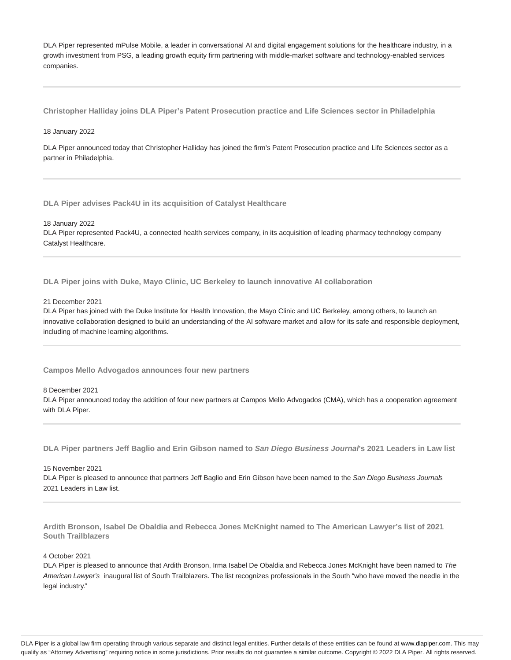DLA Piper represented mPulse Mobile, a leader in conversational AI and digital engagement solutions for the healthcare industry, in a growth investment from PSG, a leading growth equity firm partnering with middle-market software and technology-enabled services companies.

**Christopher Halliday joins DLA Piper's Patent Prosecution practice and Life Sciences sector in Philadelphia**

#### 18 January 2022

DLA Piper announced today that Christopher Halliday has joined the firm's Patent Prosecution practice and Life Sciences sector as a partner in Philadelphia.

**DLA Piper advises Pack4U in its acquisition of Catalyst Healthcare**

18 January 2022

DLA Piper represented Pack4U, a connected health services company, in its acquisition of leading pharmacy technology company Catalyst Healthcare.

**DLA Piper joins with Duke, Mayo Clinic, UC Berkeley to launch innovative AI collaboration**

21 December 2021

DLA Piper has joined with the Duke Institute for Health Innovation, the Mayo Clinic and UC Berkeley, among others, to launch an innovative collaboration designed to build an understanding of the AI software market and allow for its safe and responsible deployment, including of machine learning algorithms.

**Campos Mello Advogados announces four new partners**

8 December 2021

DLA Piper announced today the addition of four new partners at Campos Mello Advogados (CMA), which has a cooperation agreement with DLA Piper.

**DLA Piper partners Jeff Baglio and Erin Gibson named to San Diego Business Journal's 2021 Leaders in Law list**

15 November 2021

DLA Piper is pleased to announce that partners Jeff Baglio and Erin Gibson have been named to the San Diego Business Journals 2021 Leaders in Law list.

**Ardith Bronson, Isabel De Obaldia and Rebecca Jones McKnight named to The American Lawyer's list of 2021 South Trailblazers**

#### 4 October 2021

DLA Piper is pleased to announce that Ardith Bronson, Irma Isabel De Obaldia and Rebecca Jones McKnight have been named to The American Lawyer's inaugural list of South Trailblazers. The list recognizes professionals in the South "who have moved the needle in the legal industry."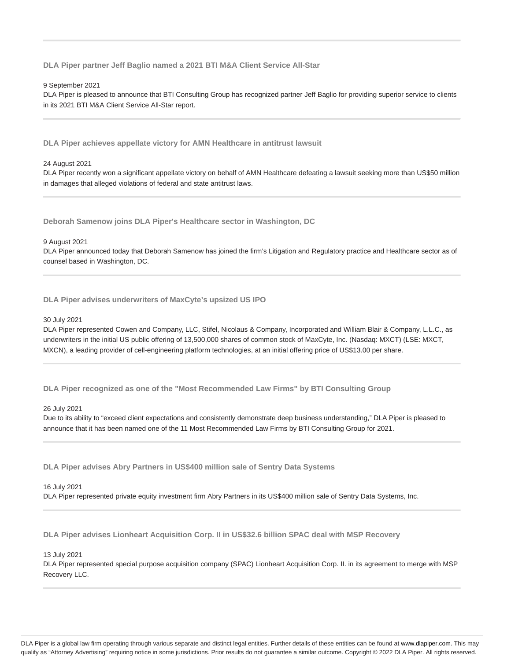**DLA Piper partner Jeff Baglio named a 2021 BTI M&A Client Service All-Star**

9 September 2021

DLA Piper is pleased to announce that BTI Consulting Group has recognized partner Jeff Baglio for providing superior service to clients in its 2021 BTI M&A Client Service All-Star report.

**DLA Piper achieves appellate victory for AMN Healthcare in antitrust lawsuit**

#### 24 August 2021

DLA Piper recently won a significant appellate victory on behalf of AMN Healthcare defeating a lawsuit seeking more than US\$50 million in damages that alleged violations of federal and state antitrust laws.

**Deborah Samenow joins DLA Piper's Healthcare sector in Washington, DC**

9 August 2021

DLA Piper announced today that Deborah Samenow has joined the firm's Litigation and Regulatory practice and Healthcare sector as of counsel based in Washington, DC.

**DLA Piper advises underwriters of MaxCyte's upsized US IPO**

#### 30 July 2021

DLA Piper represented Cowen and Company, LLC, Stifel, Nicolaus & Company, Incorporated and William Blair & Company, L.L.C., as underwriters in the initial US public offering of 13,500,000 shares of common stock of MaxCyte, Inc. (Nasdaq: MXCT) (LSE: MXCT, MXCN), a leading provider of cell-engineering platform technologies, at an initial offering price of US\$13.00 per share.

**DLA Piper recognized as one of the "Most Recommended Law Firms" by BTI Consulting Group**

#### 26 July 2021

Due to its ability to "exceed client expectations and consistently demonstrate deep business understanding," DLA Piper is pleased to announce that it has been named one of the 11 Most Recommended Law Firms by BTI Consulting Group for 2021.

**DLA Piper advises Abry Partners in US\$400 million sale of Sentry Data Systems**

#### 16 July 2021

DLA Piper represented private equity investment firm Abry Partners in its US\$400 million sale of Sentry Data Systems, Inc.

**DLA Piper advises Lionheart Acquisition Corp. II in US\$32.6 billion SPAC deal with MSP Recovery**

13 July 2021

DLA Piper represented special purpose acquisition company (SPAC) Lionheart Acquisition Corp. II. in its agreement to merge with MSP Recovery LLC.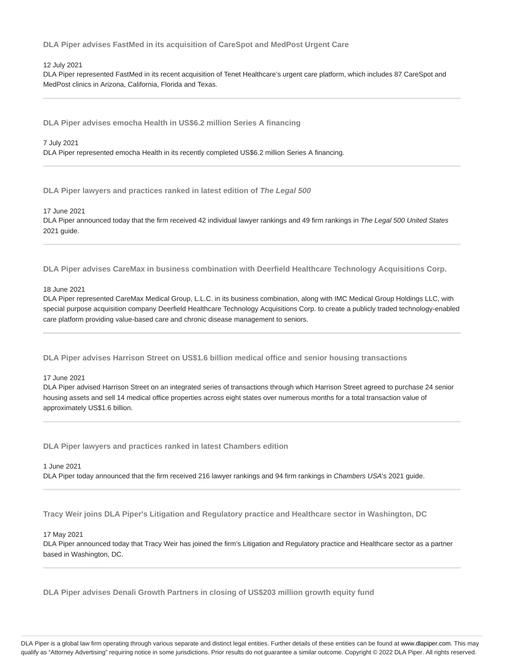**DLA Piper advises FastMed in its acquisition of CareSpot and MedPost Urgent Care**

#### 12 July 2021

DLA Piper represented FastMed in its recent acquisition of Tenet Healthcare's urgent care platform, which includes 87 CareSpot and MedPost clinics in Arizona, California, Florida and Texas.

**DLA Piper advises emocha Health in US\$6.2 million Series A financing**

7 July 2021

DLA Piper represented emocha Health in its recently completed US\$6.2 million Series A financing.

**DLA Piper lawyers and practices ranked in latest edition of The Legal 500**

17 June 2021

DLA Piper announced today that the firm received 42 individual lawyer rankings and 49 firm rankings in The Legal 500 United States 2021 guide.

**DLA Piper advises CareMax in business combination with Deerfield Healthcare Technology Acquisitions Corp.**

#### 18 June 2021

DLA Piper represented CareMax Medical Group, L.L.C. in its business combination, along with IMC Medical Group Holdings LLC, with special purpose acquisition company Deerfield Healthcare Technology Acquisitions Corp. to create a publicly traded technology-enabled care platform providing value-based care and chronic disease management to seniors.

**DLA Piper advises Harrison Street on US\$1.6 billion medical office and senior housing transactions**

#### 17 June 2021

DLA Piper advised Harrison Street on an integrated series of transactions through which Harrison Street agreed to purchase 24 senior housing assets and sell 14 medical office properties across eight states over numerous months for a total transaction value of approximately US\$1.6 billion.

**DLA Piper lawyers and practices ranked in latest Chambers edition**

#### 1 June 2021

DLA Piper today announced that the firm received 216 lawyer rankings and 94 firm rankings in Chambers USA's 2021 quide.

**Tracy Weir joins DLA Piper's Litigation and Regulatory practice and Healthcare sector in Washington, DC**

#### 17 May 2021

DLA Piper announced today that Tracy Weir has joined the firm's Litigation and Regulatory practice and Healthcare sector as a partner based in Washington, DC.

**DLA Piper advises Denali Growth Partners in closing of US\$203 million growth equity fund**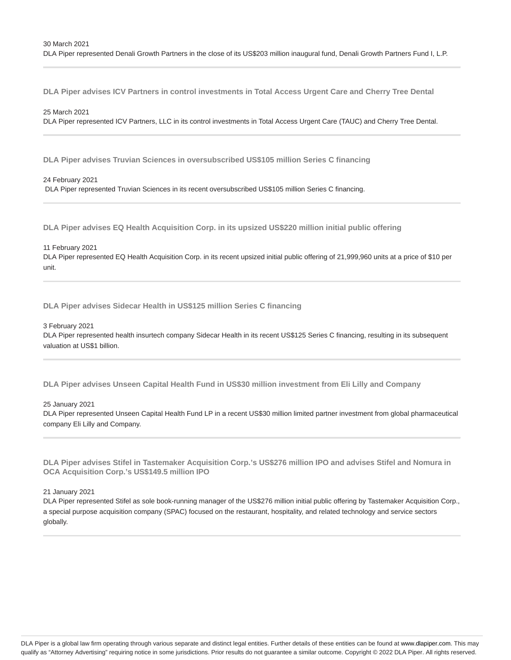**DLA Piper advises ICV Partners in control investments in Total Access Urgent Care and Cherry Tree Dental**

25 March 2021

DLA Piper represented ICV Partners, LLC in its control investments in Total Access Urgent Care (TAUC) and Cherry Tree Dental.

**DLA Piper advises Truvian Sciences in oversubscribed US\$105 million Series C financing**

24 February 2021

DLA Piper represented Truvian Sciences in its recent oversubscribed US\$105 million Series C financing.

**DLA Piper advises EQ Health Acquisition Corp. in its upsized US\$220 million initial public offering**

11 February 2021

DLA Piper represented EQ Health Acquisition Corp. in its recent upsized initial public offering of 21,999,960 units at a price of \$10 per unit.

**DLA Piper advises Sidecar Health in US\$125 million Series C financing**

3 February 2021

DLA Piper represented health insurtech company Sidecar Health in its recent US\$125 Series C financing, resulting in its subsequent valuation at US\$1 billion.

**DLA Piper advises Unseen Capital Health Fund in US\$30 million investment from Eli Lilly and Company**

25 January 2021

DLA Piper represented Unseen Capital Health Fund LP in a recent US\$30 million limited partner investment from global pharmaceutical company Eli Lilly and Company.

**DLA Piper advises Stifel in Tastemaker Acquisition Corp.'s US\$276 million IPO and advises Stifel and Nomura in OCA Acquisition Corp.'s US\$149.5 million IPO**

21 January 2021

DLA Piper represented Stifel as sole book-running manager of the US\$276 million initial public offering by Tastemaker Acquisition Corp., a special purpose acquisition company (SPAC) focused on the restaurant, hospitality, and related technology and service sectors globally.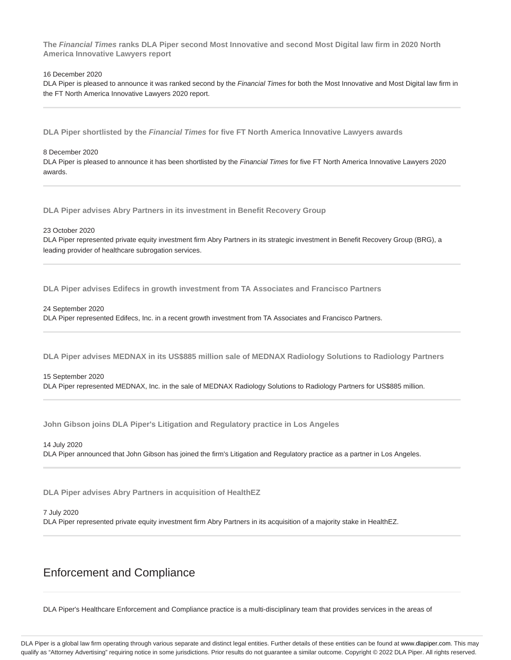**The Financial Times ranks DLA Piper second Most Innovative and second Most Digital law firm in 2020 North America Innovative Lawyers report**

#### 16 December 2020

DLA Piper is pleased to announce it was ranked second by the Financial Times for both the Most Innovative and Most Digital law firm in the FT North America Innovative Lawyers 2020 report.

**DLA Piper shortlisted by the Financial Times for five FT North America Innovative Lawyers awards**

#### 8 December 2020

DLA Piper is pleased to announce it has been shortlisted by the Financial Times for five FT North America Innovative Lawyers 2020 awards.

**DLA Piper advises Abry Partners in its investment in Benefit Recovery Group**

23 October 2020

DLA Piper represented private equity investment firm Abry Partners in its strategic investment in Benefit Recovery Group (BRG), a leading provider of healthcare subrogation services.

**DLA Piper advises Edifecs in growth investment from TA Associates and Francisco Partners**

24 September 2020

DLA Piper represented Edifecs, Inc. in a recent growth investment from TA Associates and Francisco Partners.

**DLA Piper advises MEDNAX in its US\$885 million sale of MEDNAX Radiology Solutions to Radiology Partners**

#### 15 September 2020

DLA Piper represented MEDNAX, Inc. in the sale of MEDNAX Radiology Solutions to Radiology Partners for US\$885 million.

**John Gibson joins DLA Piper's Litigation and Regulatory practice in Los Angeles**

14 July 2020 DLA Piper announced that John Gibson has joined the firm's Litigation and Regulatory practice as a partner in Los Angeles.

**DLA Piper advises Abry Partners in acquisition of HealthEZ**

#### 7 July 2020

DLA Piper represented private equity investment firm Abry Partners in its acquisition of a majority stake in HealthEZ.

## Enforcement and Compliance

DLA Piper's Healthcare Enforcement and Compliance practice is a multi-disciplinary team that provides services in the areas of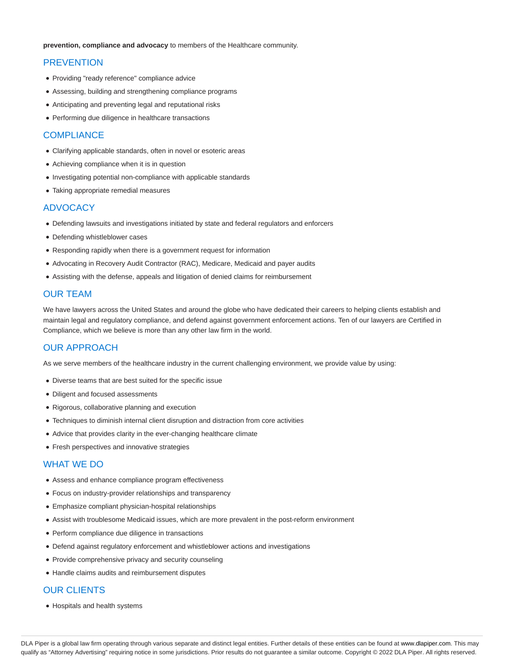**prevention, compliance and advocacy** to members of the Healthcare community.

## **PREVENTION**

- Providing "ready reference" compliance advice
- Assessing, building and strengthening compliance programs
- Anticipating and preventing legal and reputational risks
- Performing due diligence in healthcare transactions

## **COMPLIANCE**

- Clarifying applicable standards, often in novel or esoteric areas
- Achieving compliance when it is in question
- Investigating potential non-compliance with applicable standards
- Taking appropriate remedial measures

#### ADVOCACY

- Defending lawsuits and investigations initiated by state and federal regulators and enforcers
- Defending whistleblower cases
- Responding rapidly when there is a government request for information
- Advocating in Recovery Audit Contractor (RAC), Medicare, Medicaid and payer audits
- Assisting with the defense, appeals and litigation of denied claims for reimbursement

## OUR TEAM

We have lawyers across the United States and around the globe who have dedicated their careers to helping clients establish and maintain legal and regulatory compliance, and defend against government enforcement actions. Ten of our lawyers are Certified in Compliance, which we believe is more than any other law firm in the world.

## OUR APPROACH

As we serve members of the healthcare industry in the current challenging environment, we provide value by using:

- Diverse teams that are best suited for the specific issue
- Diligent and focused assessments
- Rigorous, collaborative planning and execution
- Techniques to diminish internal client disruption and distraction from core activities
- Advice that provides clarity in the ever-changing healthcare climate
- Fresh perspectives and innovative strategies

## WHAT WE DO

- Assess and enhance compliance program effectiveness
- Focus on industry-provider relationships and transparency
- Emphasize compliant physician-hospital relationships
- Assist with troublesome Medicaid issues, which are more prevalent in the post-reform environment
- Perform compliance due diligence in transactions
- Defend against regulatory enforcement and whistleblower actions and investigations
- Provide comprehensive privacy and security counseling
- Handle claims audits and reimbursement disputes

## OUR CLIENTS

Hospitals and health systems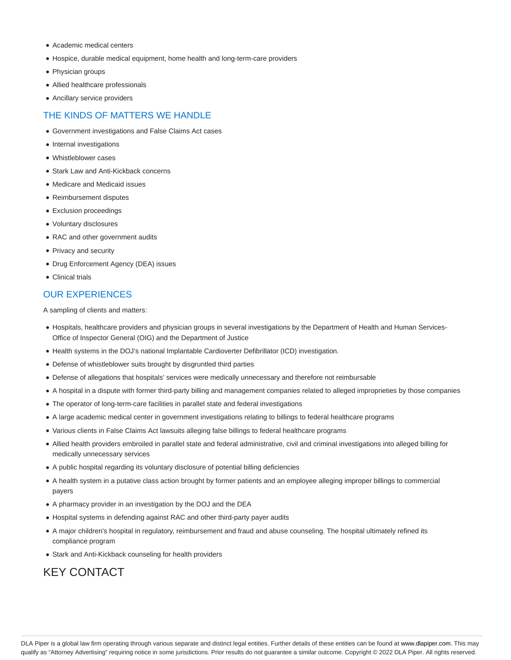- Academic medical centers
- Hospice, durable medical equipment, home health and long-term-care providers
- Physician groups
- Allied healthcare professionals
- Ancillary service providers

## THE KINDS OF MATTERS WE HANDLE

- Government investigations and False Claims Act cases
- Internal investigations
- Whistleblower cases
- Stark Law and Anti-Kickback concerns
- Medicare and Medicaid issues
- Reimbursement disputes
- Exclusion proceedings
- Voluntary disclosures
- RAC and other government audits
- Privacy and security
- Drug Enforcement Agency (DEA) issues
- Clinical trials

## OUR EXPERIENCES

A sampling of clients and matters:

- Hospitals, healthcare providers and physician groups in several investigations by the Department of Health and Human Services-Office of Inspector General (OIG) and the Department of Justice
- Health systems in the DOJ's national Implantable Cardioverter Defibrillator (ICD) investigation.
- Defense of whistleblower suits brought by disgruntled third parties
- Defense of allegations that hospitals' services were medically unnecessary and therefore not reimbursable
- A hospital in a dispute with former third-party billing and management companies related to alleged improprieties by those companies
- The operator of long-term-care facilities in parallel state and federal investigations
- A large academic medical center in government investigations relating to billings to federal healthcare programs
- Various clients in False Claims Act lawsuits alleging false billings to federal healthcare programs
- Allied health providers embroiled in parallel state and federal administrative, civil and criminal investigations into alleged billing for medically unnecessary services
- A public hospital regarding its voluntary disclosure of potential billing deficiencies
- A health system in a putative class action brought by former patients and an employee alleging improper billings to commercial payers
- A pharmacy provider in an investigation by the DOJ and the DEA
- Hospital systems in defending against RAC and other third-party payer audits
- A major children's hospital in regulatory, reimbursement and fraud and abuse counseling. The hospital ultimately refined its compliance program
- Stark and Anti-Kickback counseling for health providers

# KEY CONTACT